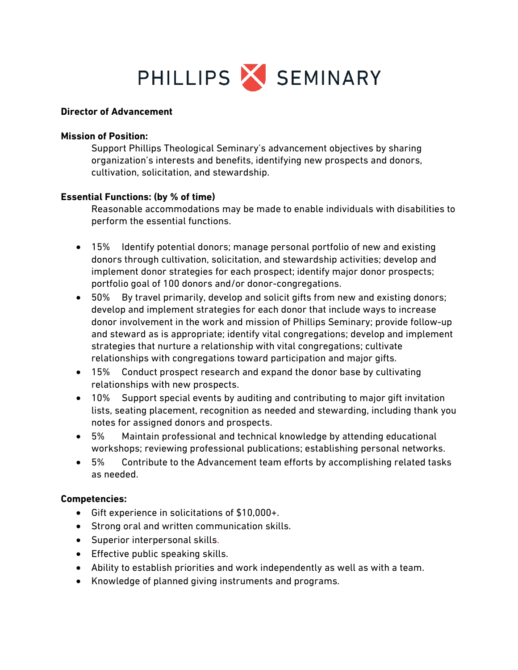

#### **Director of Advancement**

#### **Mission of Position:**

Support Phillips Theological Seminary's advancement objectives by sharing organization's interests and benefits, identifying new prospects and donors, cultivation, solicitation, and stewardship.

### **Essential Functions: (by % of time)**

Reasonable accommodations may be made to enable individuals with disabilities to perform the essential functions.

- 15% Identify potential donors; manage personal portfolio of new and existing donors through cultivation, solicitation, and stewardship activities; develop and implement donor strategies for each prospect; identify major donor prospects; portfolio goal of 100 donors and/or donor-congregations.
- 50% By travel primarily, develop and solicit gifts from new and existing donors; develop and implement strategies for each donor that include ways to increase donor involvement in the work and mission of Phillips Seminary; provide follow-up and steward as is appropriate; identify vital congregations; develop and implement strategies that nurture a relationship with vital congregations; cultivate relationships with congregations toward participation and major gifts.
- 15% Conduct prospect research and expand the donor base by cultivating relationships with new prospects.
- 10% Support special events by auditing and contributing to major gift invitation lists, seating placement, recognition as needed and stewarding, including thank you notes for assigned donors and prospects.
- 5% Maintain professional and technical knowledge by attending educational workshops; reviewing professional publications; establishing personal networks.
- 5% Contribute to the Advancement team efforts by accomplishing related tasks as needed.

### **Competencies:**

- Gift experience in solicitations of \$10,000+.
- Strong oral and written communication skills.
- Superior interpersonal skills.
- Effective public speaking skills.
- Ability to establish priorities and work independently as well as with a team.
- Knowledge of planned giving instruments and programs.